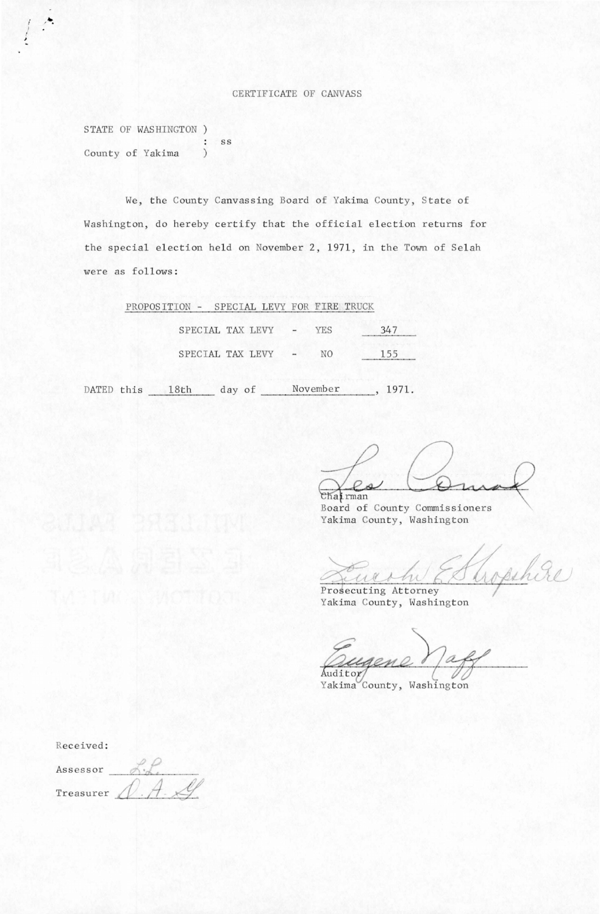## CERTIFICATE OF CANVASS

STATE OF WASHINGTON ) : ss County of Yakima  $\mathcal{E}$ 

We, the County Canvassing Board of Yakima County, State of Washington, do hereby certify that the official election returns for the special election held on November 2, 1971, in the Town of Selah were as follows:

| PROPOSITION - SPECIAL LEVY FOR FIRE TRUCK |  |                    |            |      |
|-------------------------------------------|--|--------------------|------------|------|
|                                           |  | SPECIAL TAX LEVY - | <b>YES</b> | 2/17 |
|                                           |  | SPECIAL TAX LEVY - | NΩ         |      |

DATED this 18th day of November , 1971.

 $P_{\mathcal{A}}$ chairman

Board of County Commissioners Yakima County, Washington

Trophice

Prosecuting Attorney Yakima County, Washington

Quegene Yaff

Received:

Assessor Treasurer